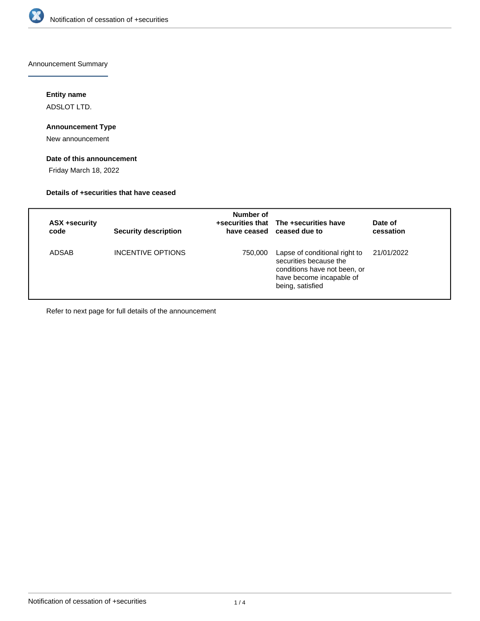

Announcement Summary

## **Entity name**

ADSLOT LTD.

## **Announcement Type**

New announcement

## **Date of this announcement**

Friday March 18, 2022

#### **Details of +securities that have ceased**

| ASX +security<br>code | <b>Security description</b> | Number of | +securities that The +securities have<br>have ceased ceased due to                                                                      | Date of<br>cessation |
|-----------------------|-----------------------------|-----------|-----------------------------------------------------------------------------------------------------------------------------------------|----------------------|
| ADSAB                 | INCENTIVE OPTIONS           | 750,000   | Lapse of conditional right to<br>securities because the<br>conditions have not been, or<br>have become incapable of<br>being, satisfied | 21/01/2022           |

Refer to next page for full details of the announcement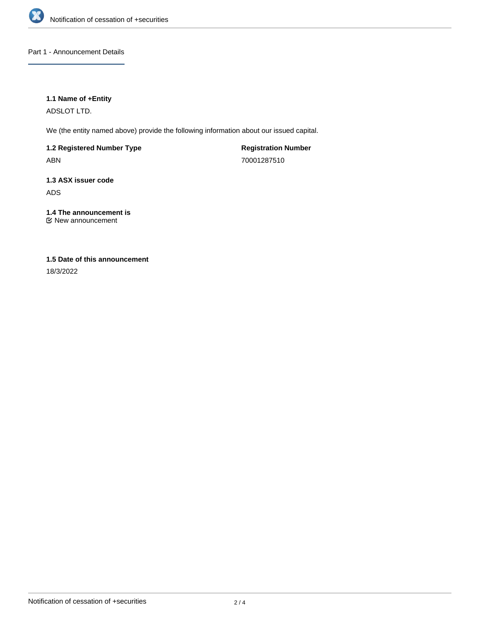

Part 1 - Announcement Details

## **1.1 Name of +Entity**

ADSLOT LTD.

We (the entity named above) provide the following information about our issued capital.

**1.2 Registered Number Type** ABN

**Registration Number** 70001287510

**1.3 ASX issuer code** ADS

**1.4 The announcement is** New announcement

# **1.5 Date of this announcement**

18/3/2022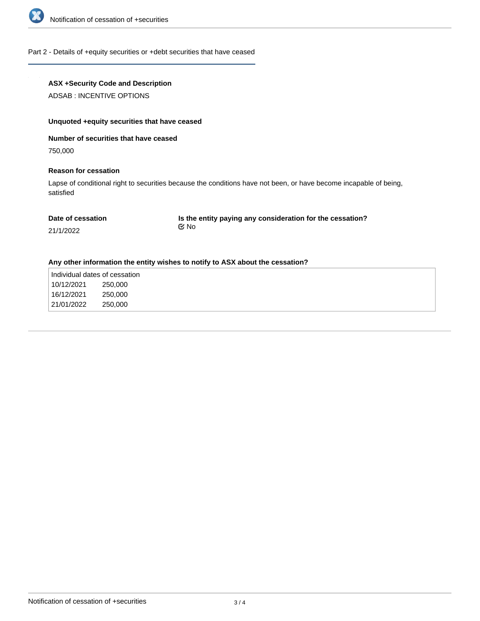

#### Part 2 - Details of +equity securities or +debt securities that have ceased

## **ASX +Security Code and Description**

ADSAB : INCENTIVE OPTIONS

## **Unquoted +equity securities that have ceased**

#### **Number of securities that have ceased**

750,000

## **Reason for cessation**

Lapse of conditional right to securities because the conditions have not been, or have become incapable of being, satisfied

| Date of cessation | Is the entity paying any consideration for the cessation? |
|-------------------|-----------------------------------------------------------|
| 21/1/2022         | t⊠ No                                                     |

#### **Any other information the entity wishes to notify to ASX about the cessation?**

| Individual dates of cessation |         |
|-------------------------------|---------|
| 10/12/2021                    | 250,000 |
| 16/12/2021                    | 250,000 |
| 21/01/2022                    | 250,000 |